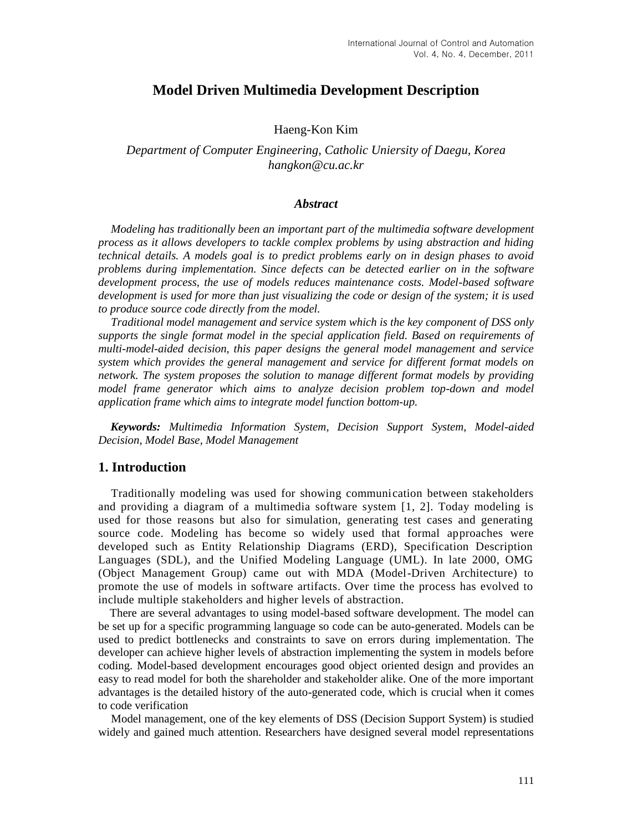## **Model Driven Multimedia Development Description**

### Haeng-Kon Kim

### *Department of Computer Engineering, Catholic Uniersity of Daegu, Korea hangkon@cu.ac.kr*

### *Abstract*

*Modeling has traditionally been an important part of the multimedia software development process as it allows developers to tackle complex problems by using abstraction and hiding technical details. A models goal is to predict problems early on in design phases to avoid problems during implementation. Since defects can be detected earlier on in the software development process, the use of models reduces maintenance costs. Model-based software development is used for more than just visualizing the code or design of the system; it is used to produce source code directly from the model.* 

*Traditional model management and service system which is the key component of DSS only supports the single format model in the special application field. Based on requirements of multi-model-aided decision, this paper designs the general model management and service system which provides the general management and service for different format models on network. The system proposes the solution to manage different format models by providing model frame generator which aims to analyze decision problem top-down and model application frame which aims to integrate model function bottom-up.*

*Keywords: Multimedia Information System, Decision Support System, Model-aided Decision, Model Base, Model Management*

### **1. Introduction**

Traditionally modeling was used for showing communication between stakeholders and providing a diagram of a multimedia software system [1, 2]. Today modeling is used for those reasons but also for simulation, generating test cases and generating source code. Modeling has become so widely used that formal approaches were developed such as Entity Relationship Diagrams (ERD), Specification Description Languages (SDL), and the Unified Modeling Language (UML). In late 2000, OMG (Object Management Group) came out with MDA (Model-Driven Architecture) to promote the use of models in software artifacts. Over time the process has evolved to include multiple stakeholders and higher levels of abstraction.

There are several advantages to using model-based software development. The model can be set up for a specific programming language so code can be auto-generated. Models can be used to predict bottlenecks and constraints to save on errors during implementation. The developer can achieve higher levels of abstraction implementing the system in models before coding. Model-based development encourages good object oriented design and provides an easy to read model for both the shareholder and stakeholder alike. One of the more important advantages is the detailed history of the auto-generated code, which is crucial when it comes to code verification

Model management, one of the key elements of DSS (Decision Support System) is studied widely and gained much attention. Researchers have designed several model representations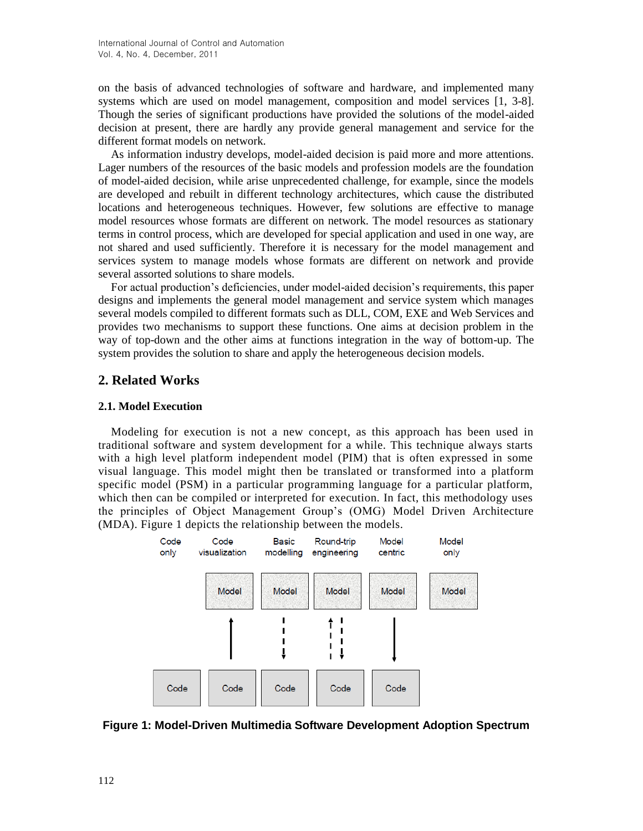on the basis of advanced technologies of software and hardware, and implemented many systems which are used on model management, composition and model services [1, 3-8]. Though the series of significant productions have provided the solutions of the model-aided decision at present, there are hardly any provide general management and service for the different format models on network.

As information industry develops, model-aided decision is paid more and more attentions. Lager numbers of the resources of the basic models and profession models are the foundation of model-aided decision, while arise unprecedented challenge, for example, since the models are developed and rebuilt in different technology architectures, which cause the distributed locations and heterogeneous techniques. However, few solutions are effective to manage model resources whose formats are different on network. The model resources as stationary terms in control process, which are developed for special application and used in one way, are not shared and used sufficiently. Therefore it is necessary for the model management and services system to manage models whose formats are different on network and provide several assorted solutions to share models.

For actual production's deficiencies, under model-aided decision's requirements, this paper designs and implements the general model management and service system which manages several models compiled to different formats such as DLL, COM, EXE and Web Services and provides two mechanisms to support these functions. One aims at decision problem in the way of top-down and the other aims at functions integration in the way of bottom-up. The system provides the solution to share and apply the heterogeneous decision models.

## **2. Related Works**

### **2.1. Model Execution**

Modeling for execution is not a new concept, as this approach has been used in traditional software and system development for a while. This technique always starts with a high level platform independent model (PIM) that is often expressed in some visual language. This model might then be translated or transformed into a platform specific model (PSM) in a particular programming language for a particular platform, which then can be compiled or interpreted for execution. In fact, this methodology uses the principles of Object Management Group's (OMG) Model Driven Architecture (MDA). Figure 1 depicts the relationship between the models.



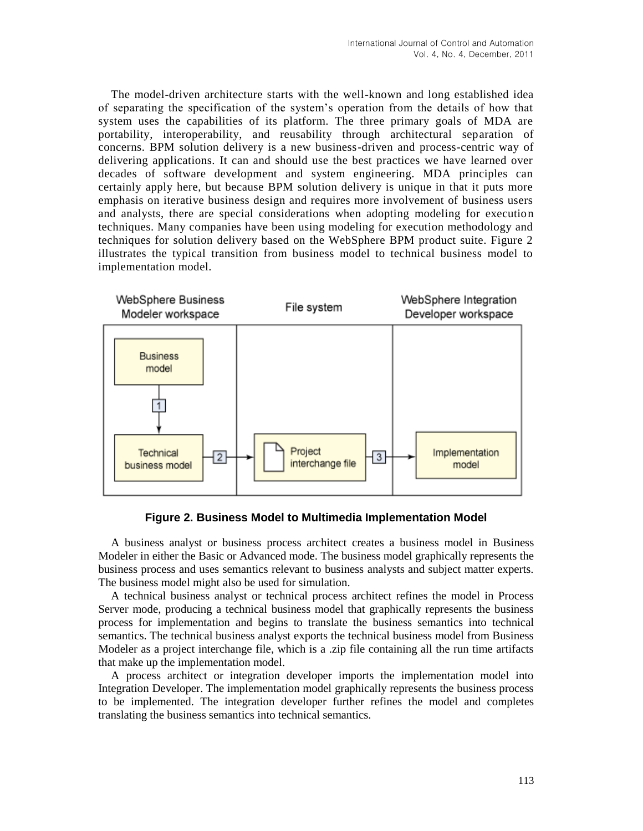The model-driven architecture starts with the well-known and long established idea of separating the specification of the system's operation from the details of how that system uses the capabilities of its platform. The three primary goals of MDA are portability, interoperability, and reusability through architectural separation of concerns. BPM solution delivery is a new business-driven and process-centric way of delivering applications. It can and should use the best practices we have learned over decades of software development and system engineering. MDA principles can certainly apply here, but because BPM solution delivery is unique in that it puts more emphasis on iterative business design and requires more involvement of business users and analysts, there are special considerations when adopting modeling for execution techniques. Many companies have been using modeling for execution methodology and techniques for solution delivery based on the WebSphere BPM product suite. Figure 2 illustrates the typical transition from business model to technical business model to implementation model.



**Figure 2. Business Model to Multimedia Implementation Model**

A business analyst or business process architect creates a business model in Business Modeler in either the Basic or Advanced mode. The business model graphically represents the business process and uses semantics relevant to business analysts and subject matter experts. The business model might also be used for simulation.

A technical business analyst or technical process architect refines the model in Process Server mode, producing a technical business model that graphically represents the business process for implementation and begins to translate the business semantics into technical semantics. The technical business analyst exports the technical business model from Business Modeler as a project interchange file, which is a .zip file containing all the run time artifacts that make up the implementation model.

A process architect or integration developer imports the implementation model into Integration Developer. The implementation model graphically represents the business process to be implemented. The integration developer further refines the model and completes translating the business semantics into technical semantics.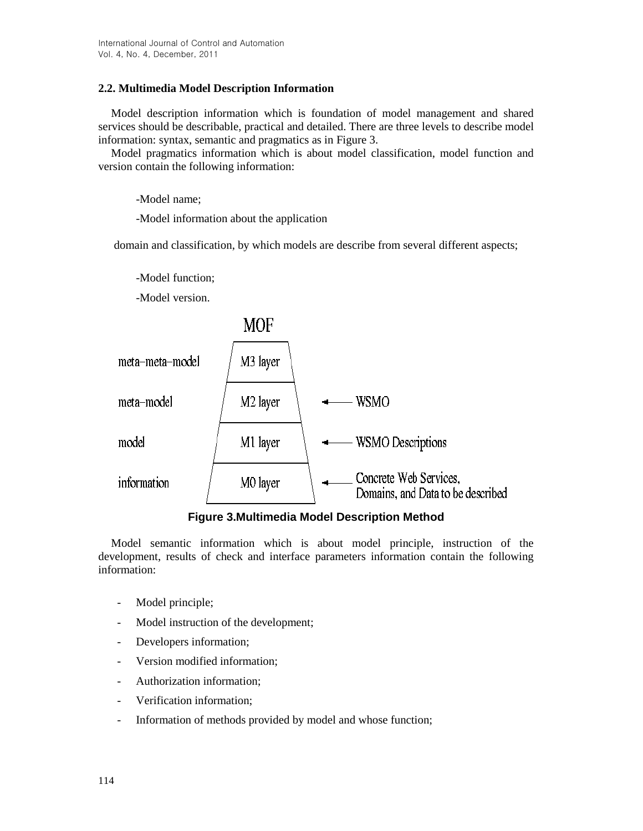### **2.2. Multimedia Model Description Information**

Model description information which is foundation of model management and shared services should be describable, practical and detailed. There are three levels to describe model information: syntax, semantic and pragmatics as in Figure 3.

Model pragmatics information which is about model classification, model function and version contain the following information:

-Model name;

-Model information about the application

domain and classification, by which models are describe from several different aspects;

-Model function;

-Model version.



**Figure 3.Multimedia Model Description Method**

Model semantic information which is about model principle, instruction of the development, results of check and interface parameters information contain the following information:

- Model principle;
- Model instruction of the development;
- Developers information;
- Version modified information;
- Authorization information;
- Verification information;
- Information of methods provided by model and whose function;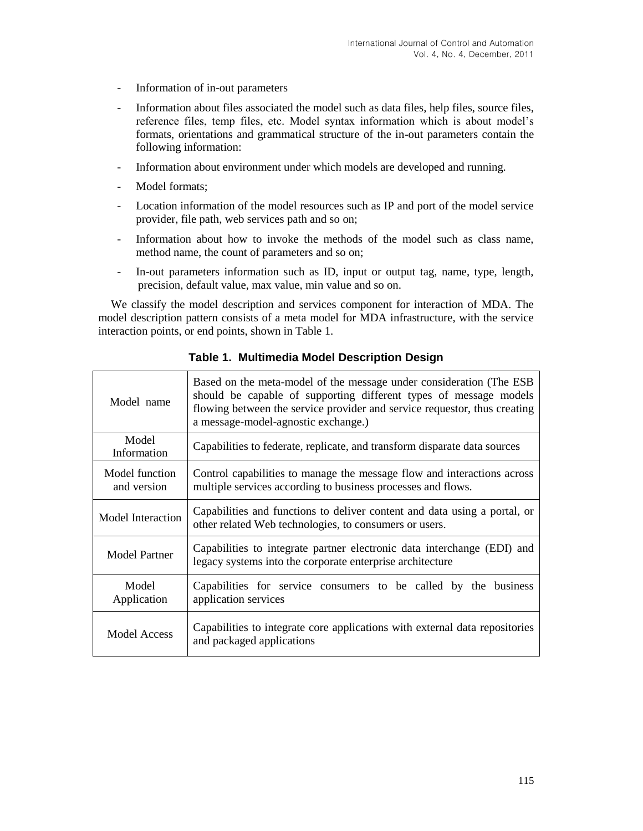- Information of in-out parameters
- Information about files associated the model such as data files, help files, source files, reference files, temp files, etc. Model syntax information which is about model's formats, orientations and grammatical structure of the in-out parameters contain the following information:
- Information about environment under which models are developed and running.
- Model formats;
- Location information of the model resources such as IP and port of the model service provider, file path, web services path and so on;
- Information about how to invoke the methods of the model such as class name, method name, the count of parameters and so on;
- In-out parameters information such as ID, input or output tag, name, type, length, precision, default value, max value, min value and so on.

We classify the model description and services component for interaction of MDA. The model description pattern consists of a meta model for MDA infrastructure, with the service interaction points, or end points, shown in Table 1.

| Model name                    | Based on the meta-model of the message under consideration (The ESB<br>should be capable of supporting different types of message models<br>flowing between the service provider and service requestor, thus creating<br>a message-model-agnostic exchange.) |
|-------------------------------|--------------------------------------------------------------------------------------------------------------------------------------------------------------------------------------------------------------------------------------------------------------|
| Model<br>Information          | Capabilities to federate, replicate, and transform disparate data sources                                                                                                                                                                                    |
| Model function<br>and version | Control capabilities to manage the message flow and interactions across<br>multiple services according to business processes and flows.                                                                                                                      |
| Model Interaction             | Capabilities and functions to deliver content and data using a portal, or<br>other related Web technologies, to consumers or users.                                                                                                                          |
| <b>Model Partner</b>          | Capabilities to integrate partner electronic data interchange (EDI) and<br>legacy systems into the corporate enterprise architecture                                                                                                                         |
| Model<br>Application          | Capabilities for service consumers to be called by the business<br>application services                                                                                                                                                                      |
| <b>Model Access</b>           | Capabilities to integrate core applications with external data repositories<br>and packaged applications                                                                                                                                                     |

**Table 1. Multimedia Model Description Design**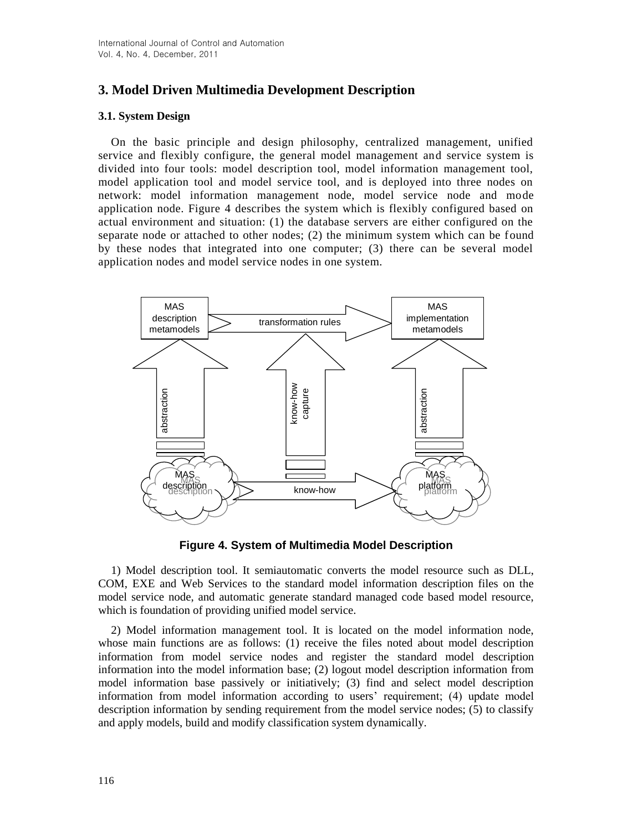# **3. Model Driven Multimedia Development Description**

### **3.1. System Design**

On the basic principle and design philosophy, centralized management, unified service and flexibly configure, the general model management and service system is divided into four tools: model description tool, model information management tool, model application tool and model service tool, and is deployed into three nodes on network: model information management node, model service node and mode application node. Figure 4 describes the system which is flexibly configured based on actual environment and situation: (1) the database servers are either configured on the separate node or attached to other nodes; (2) the minimum system which can be found by these nodes that integrated into one computer; (3) there can be several model application nodes and model service nodes in one system.



**Figure 4. System of Multimedia Model Description**

1) Model description tool. It semiautomatic converts the model resource such as DLL, COM, EXE and Web Services to the standard model information description files on the model service node, and automatic generate standard managed code based model resource, which is foundation of providing unified model service.

2) Model information management tool. It is located on the model information node, whose main functions are as follows: (1) receive the files noted about model description information from model service nodes and register the standard model description information into the model information base; (2) logout model description information from model information base passively or initiatively; (3) find and select model description information from model information according to users' requirement; (4) update model description information by sending requirement from the model service nodes; (5) to classify and apply models, build and modify classification system dynamically.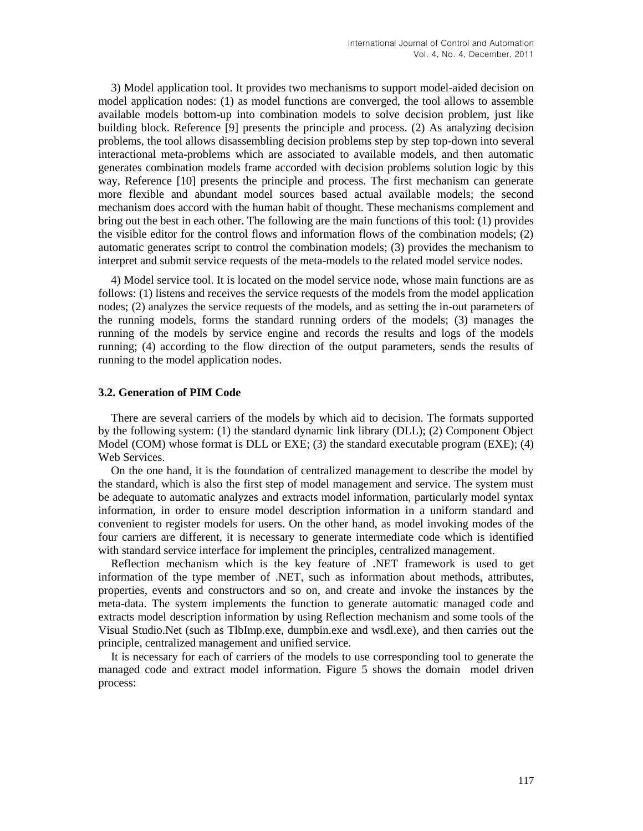3) Model application tool. It provides two mechanisms to support model-aided decision on model application nodes: (1) as model functions are converged, the tool allows to assemble available models bottom-up into combination models to solve decision problem, just like building block. Reference [9] presents the principle and process. (2) As analyzing decision problems, the tool allows disassembling decision problems step by step top-down into several interactional meta-problems which are associated to available models, and then automatic generates combination models frame accorded with decision problems solution logic by this way, Reference [10] presents the principle and process. The first mechanism can generate more flexible and abundant model sources based actual available models; the second mechanism does accord with the human habit of thought. These mechanisms complement and bring out the best in each other. The following are the main functions of this tool: (1) provides the visible editor for the control flows and information flows of the combination models; (2) automatic generates script to control the combination models; (3) provides the mechanism to interpret and submit service requests of the meta-models to the related model service nodes.

4) Model service tool. It is located on the model service node, whose main functions are as follows: (1) listens and receives the service requests of the models from the model application nodes; (2) analyzes the service requests of the models, and as setting the in-out parameters of the running models, forms the standard running orders of the models; (3) manages the running of the models by service engine and records the results and logs of the models running; (4) according to the flow direction of the output parameters, sends the results of running to the model application nodes.

### **3.2. Generation of PIM Code**

There are several carriers of the models by which aid to decision. The formats supported by the following system: (1) the standard dynamic link library (DLL); (2) Component Object Model (COM) whose format is DLL or EXE; (3) the standard executable program (EXE); (4) Web Services.

On the one hand, it is the foundation of centralized management to describe the model by the standard, which is also the first step of model management and service. The system must be adequate to automatic analyzes and extracts model information, particularly model syntax information, in order to ensure model description information in a uniform standard and convenient to register models for users. On the other hand, as model invoking modes of the four carriers are different, it is necessary to generate intermediate code which is identified with standard service interface for implement the principles, centralized management.

Reflection mechanism which is the key feature of .NET framework is used to get information of the type member of .NET, such as information about methods, attributes, properties, events and constructors and so on, and create and invoke the instances by the meta-data. The system implements the function to generate automatic managed code and extracts model description information by using Reflection mechanism and some tools of the Visual Studio.Net (such as TlbImp.exe, dumpbin.exe and wsdl.exe), and then carries out the principle, centralized management and unified service.

It is necessary for each of carriers of the models to use corresponding tool to generate the managed code and extract model information. Figure 5 shows the domain model driven process: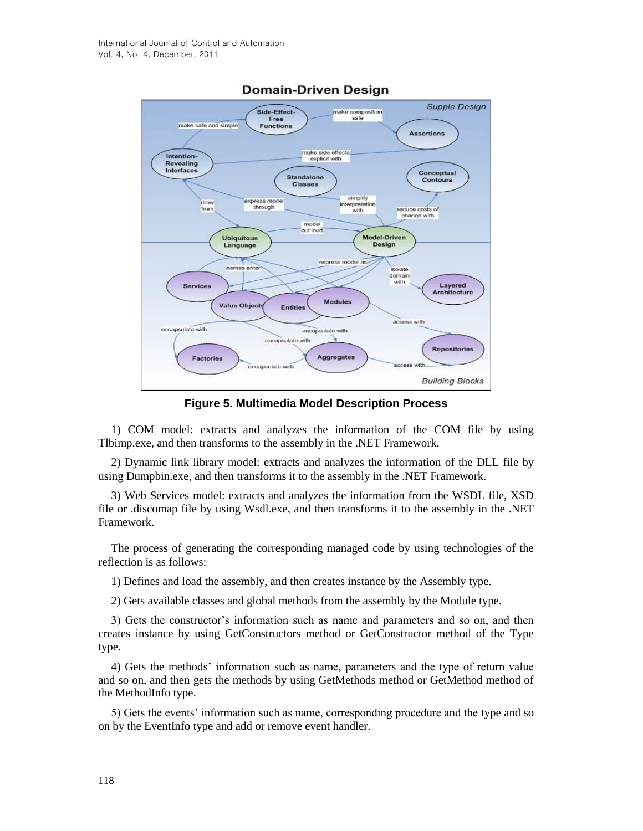

## **Domain-Driven Design**

**Figure 5. Multimedia Model Description Process**

1) COM model: extracts and analyzes the information of the COM file by using Tlbimp.exe, and then transforms to the assembly in the .NET Framework.

2) Dynamic link library model: extracts and analyzes the information of the DLL file by using Dumpbin.exe, and then transforms it to the assembly in the .NET Framework.

3) Web Services model: extracts and analyzes the information from the WSDL file, XSD file or .discomap file by using Wsdl.exe, and then transforms it to the assembly in the .NET Framework.

The process of generating the corresponding managed code by using technologies of the reflection is as follows:

1) Defines and load the assembly, and then creates instance by the Assembly type.

2) Gets available classes and global methods from the assembly by the Module type.

3) Gets the constructor's information such as name and parameters and so on, and then creates instance by using GetConstructors method or GetConstructor method of the Type type.

4) Gets the methods' information such as name, parameters and the type of return value and so on, and then gets the methods by using GetMethods method or GetMethod method of the MethodInfo type.

5) Gets the events' information such as name, corresponding procedure and the type and so on by the EventInfo type and add or remove event handler.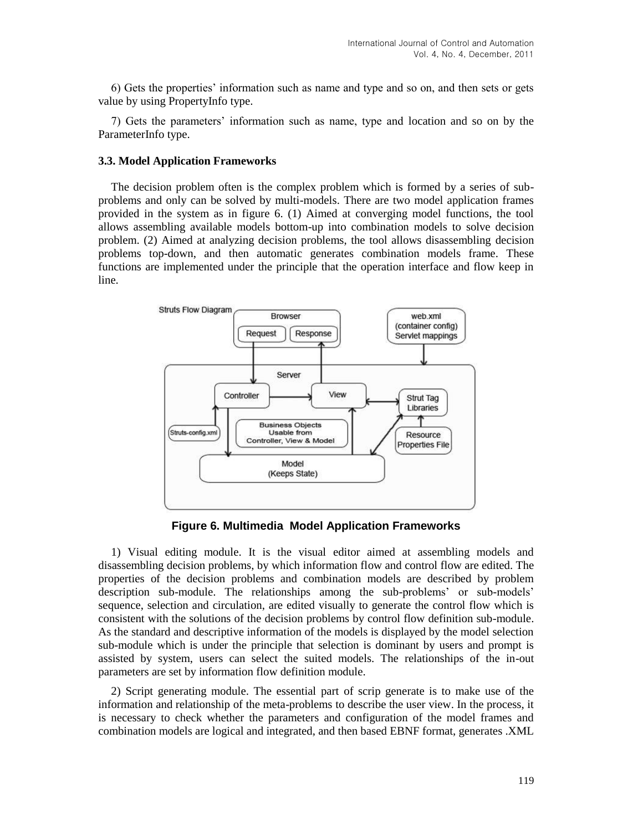6) Gets the properties' information such as name and type and so on, and then sets or gets value by using PropertyInfo type.

7) Gets the parameters' information such as name, type and location and so on by the ParameterInfo type.

#### **3.3. Model Application Frameworks**

The decision problem often is the complex problem which is formed by a series of subproblems and only can be solved by multi-models. There are two model application frames provided in the system as in figure 6. (1) Aimed at converging model functions, the tool allows assembling available models bottom-up into combination models to solve decision problem. (2) Aimed at analyzing decision problems, the tool allows disassembling decision problems top-down, and then automatic generates combination models frame. These functions are implemented under the principle that the operation interface and flow keep in line.



**Figure 6. Multimedia Model Application Frameworks**

1) Visual editing module. It is the visual editor aimed at assembling models and disassembling decision problems, by which information flow and control flow are edited. The properties of the decision problems and combination models are described by problem description sub-module. The relationships among the sub-problems' or sub-models' sequence, selection and circulation, are edited visually to generate the control flow which is consistent with the solutions of the decision problems by control flow definition sub-module. As the standard and descriptive information of the models is displayed by the model selection sub-module which is under the principle that selection is dominant by users and prompt is assisted by system, users can select the suited models. The relationships of the in-out parameters are set by information flow definition module.

2) Script generating module. The essential part of scrip generate is to make use of the information and relationship of the meta-problems to describe the user view. In the process, it is necessary to check whether the parameters and configuration of the model frames and combination models are logical and integrated, and then based EBNF format, generates .XML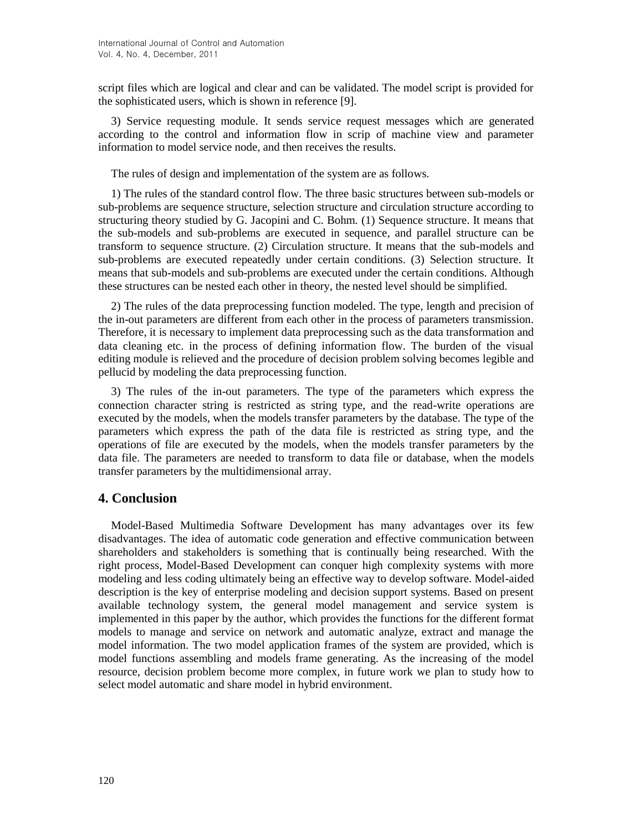script files which are logical and clear and can be validated. The model script is provided for the sophisticated users, which is shown in reference [9].

3) Service requesting module. It sends service request messages which are generated according to the control and information flow in scrip of machine view and parameter information to model service node, and then receives the results.

The rules of design and implementation of the system are as follows.

1) The rules of the standard control flow. The three basic structures between sub-models or sub-problems are sequence structure, selection structure and circulation structure according to structuring theory studied by G. Jacopini and C. Bohm. (1) Sequence structure. It means that the sub-models and sub-problems are executed in sequence, and parallel structure can be transform to sequence structure. (2) Circulation structure. It means that the sub-models and sub-problems are executed repeatedly under certain conditions. (3) Selection structure. It means that sub-models and sub-problems are executed under the certain conditions. Although these structures can be nested each other in theory, the nested level should be simplified.

2) The rules of the data preprocessing function modeled. The type, length and precision of the in-out parameters are different from each other in the process of parameters transmission. Therefore, it is necessary to implement data preprocessing such as the data transformation and data cleaning etc. in the process of defining information flow. The burden of the visual editing module is relieved and the procedure of decision problem solving becomes legible and pellucid by modeling the data preprocessing function.

3) The rules of the in-out parameters. The type of the parameters which express the connection character string is restricted as string type, and the read-write operations are executed by the models, when the models transfer parameters by the database. The type of the parameters which express the path of the data file is restricted as string type, and the operations of file are executed by the models, when the models transfer parameters by the data file. The parameters are needed to transform to data file or database, when the models transfer parameters by the multidimensional array.

## **4. Conclusion**

Model-Based Multimedia Software Development has many advantages over its few disadvantages. The idea of automatic code generation and effective communication between shareholders and stakeholders is something that is continually being researched. With the right process, Model-Based Development can conquer high complexity systems with more modeling and less coding ultimately being an effective way to develop software. Model-aided description is the key of enterprise modeling and decision support systems. Based on present available technology system, the general model management and service system is implemented in this paper by the author, which provides the functions for the different format models to manage and service on network and automatic analyze, extract and manage the model information. The two model application frames of the system are provided, which is model functions assembling and models frame generating. As the increasing of the model resource, decision problem become more complex, in future work we plan to study how to select model automatic and share model in hybrid environment.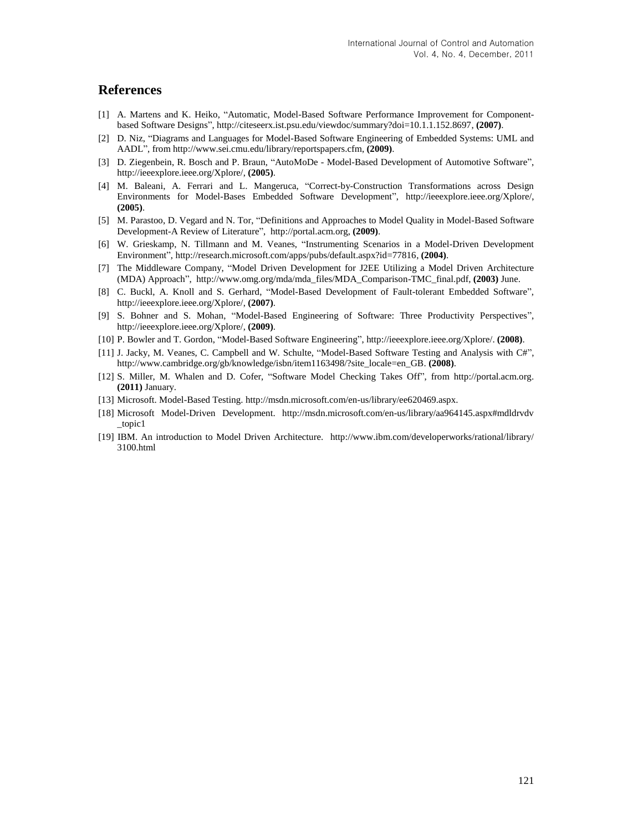### **References**

- [1] A. Martens and K. Heiko, "Automatic, Model-Based Software Performance Improvement for Componentbased Software Designs"[, http://citeseerx.ist.psu.edu/viewdoc/summary?doi=10.1.1.152.8697,](http://citeseerx.ist.psu.edu/viewdoc/summary?doi=10.1.1.152.8697) **(2007)**.
- [2] D. Niz, "Diagrams and Languages for Model-Based Software Engineering of Embedded Systems: UML and AADL", from [http://www.sei.cmu.edu/library/reportspapers.cfm,](http://www.sei.cmu.edu/library/reportspapers.cfm) **(2009)**.
- [3] D. Ziegenbein, R. Bosch and P. Braun, "AutoMoDe Model-Based Development of Automotive Software", [http://ieeexplore.ieee.org/Xplore/,](http://ieeexplore.ieee.org/Xplore/) **(2005)**.
- [4] M. Baleani, A. Ferrari and L. Mangeruca, "Correct-by-Construction Transformations across Design Environments for Model-Bases Embedded Software Development", [http://ieeexplore.ieee.org/Xplore/,](http://ieeexplore.ieee.org/Xplore/) **(2005)**.
- [5] M. Parastoo, D. Vegard and N. Tor, "Definitions and Approaches to Model Quality in Model-Based Software Development-A Review of Literature", [http://portal.acm.org,](http://portal.acm.org/) **(2009)**.
- [6] W. Grieskamp, N. Tillmann and M. Veanes, "Instrumenting Scenarios in a Model-Driven Development Environment", [http://research.microsoft.com/apps/pubs/default.aspx?id=77816,](http://research.microsoft.com/apps/pubs/default.aspx?id=77816) **(2004)**.
- [7] The Middleware Company, "Model Driven Development for J2EE Utilizing a Model Driven Architecture (MDA) Approach", [http://www.omg.org/mda/mda\\_files/MDA\\_Comparison-TMC\\_final.pdf,](http://www.omg.org/mda/mda_files/MDA_Comparison-TMC_final.pdf) **(2003)** June.
- [8] C. Buckl, A. Knoll and S. Gerhard, "Model-Based Development of Fault-tolerant Embedded Software", http://ieeexplore.ieee.org/Xplore/, **(2007)**.
- [9] S. Bohner and S. Mohan, "Model-Based Engineering of Software: Three Productivity Perspectives", [http://ieeexplore.ieee.org/Xplore/,](http://ieeexplore.ieee.org/Xplore/) **(2009)**.
- [10] P. Bowler and T. Gordon, "Model-Based Software Engineering", [http://ieeexplore.ieee.org/Xplore/.](http://ieeexplore.ieee.org/Xplore/) **(2008)**.
- [11] J. Jacky, M. Veanes, C. Campbell and W. Schulte, "Model-Based Software Testing and Analysis with C#", [http://www.cambridge.org/gb/knowledge/isbn/item1163498/?site\\_locale=en\\_GB.](http://www.cambridge.org/gb/knowledge/isbn/item1163498/?site_locale=en_GB) **(2008)**.
- [12] S. Miller, M. Whalen and D. Cofer, "Software Model Checking Takes Off", from [http://portal.acm.org.](http://portal.acm.org/) **(2011)** January.
- [13] Microsoft. Model-Based Testing. [http://msdn.microsoft.com/en-us/library/ee620469.aspx.](http://msdn.microsoft.com/en-us/library/ee620469.aspx)
- [18] Microsoft Model-Driven Development. http://msdn.microsoft.com/en-us/library/aa964145.aspx#mdldrvdv \_topic1
- [19] IBM. An introduction to Model Driven Architecture. http://www.ibm.com/developerworks/rational/library/ 3100.html